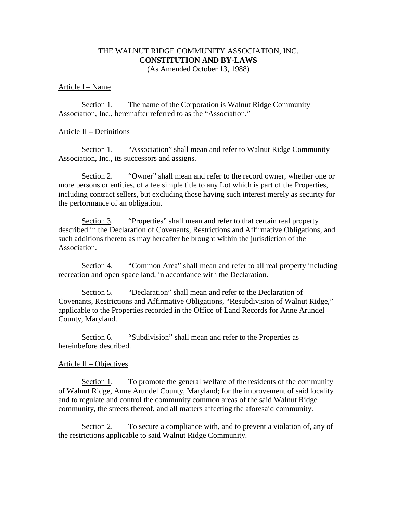## THE WALNUT RIDGE COMMUNITY ASSOCIATION, INC. **CONSTITUTION AND BY-LAWS**  (As Amended October 13, 1988)

### Article I – Name

Section 1. The name of the Corporation is Walnut Ridge Community Association, Inc., hereinafter referred to as the "Association."

### Article II – Definitions

Section 1. "Association" shall mean and refer to Walnut Ridge Community Association, Inc., its successors and assigns.

 Section 2. "Owner" shall mean and refer to the record owner, whether one or more persons or entities, of a fee simple title to any Lot which is part of the Properties, including contract sellers, but excluding those having such interest merely as security for the performance of an obligation.

Section 3. "Properties" shall mean and refer to that certain real property described in the Declaration of Covenants, Restrictions and Affirmative Obligations, and such additions thereto as may hereafter be brought within the jurisdiction of the Association.

Section 4. "Common Area" shall mean and refer to all real property including recreation and open space land, in accordance with the Declaration.

 Section 5. "Declaration" shall mean and refer to the Declaration of Covenants, Restrictions and Affirmative Obligations, "Resubdivision of Walnut Ridge," applicable to the Properties recorded in the Office of Land Records for Anne Arundel County, Maryland.

Section 6. "Subdivision" shall mean and refer to the Properties as hereinbefore described.

#### Article II – Objectives

 Section 1. To promote the general welfare of the residents of the community of Walnut Ridge, Anne Arundel County, Maryland; for the improvement of said locality and to regulate and control the community common areas of the said Walnut Ridge community, the streets thereof, and all matters affecting the aforesaid community.

 Section 2. To secure a compliance with, and to prevent a violation of, any of the restrictions applicable to said Walnut Ridge Community.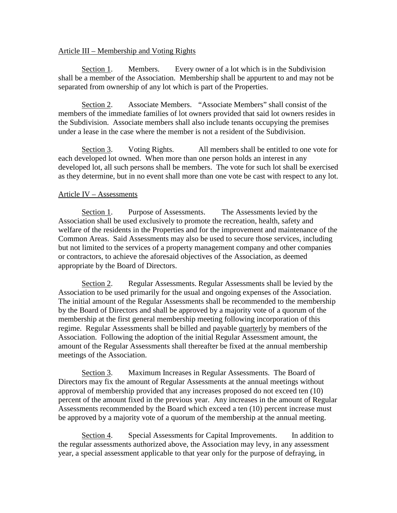## Article III – Membership and Voting Rights

 Section 1. Members. Every owner of a lot which is in the Subdivision shall be a member of the Association. Membership shall be appurtent to and may not be separated from ownership of any lot which is part of the Properties.

Section 2. Associate Members. "Associate Members" shall consist of the members of the immediate families of lot owners provided that said lot owners resides in the Subdivision. Associate members shall also include tenants occupying the premises under a lease in the case where the member is not a resident of the Subdivision.

 Section 3. Voting Rights. All members shall be entitled to one vote for each developed lot owned. When more than one person holds an interest in any developed lot, all such persons shall be members. The vote for such lot shall be exercised as they determine, but in no event shall more than one vote be cast with respect to any lot.

# Article IV – Assessments

Section 1. Purpose of Assessments. The Assessments levied by the Association shall be used exclusively to promote the recreation, health, safety and welfare of the residents in the Properties and for the improvement and maintenance of the Common Areas. Said Assessments may also be used to secure those services, including but not limited to the services of a property management company and other companies or contractors, to achieve the aforesaid objectives of the Association, as deemed appropriate by the Board of Directors.

 Section 2. Regular Assessments. Regular Assessments shall be levied by the Association to be used primarily for the usual and ongoing expenses of the Association. The initial amount of the Regular Assessments shall be recommended to the membership by the Board of Directors and shall be approved by a majority vote of a quorum of the membership at the first general membership meeting following incorporation of this regime. Regular Assessments shall be billed and payable quarterly by members of the Association. Following the adoption of the initial Regular Assessment amount, the amount of the Regular Assessments shall thereafter be fixed at the annual membership meetings of the Association.

Section 3. Maximum Increases in Regular Assessments. The Board of Directors may fix the amount of Regular Assessments at the annual meetings without approval of membership provided that any increases proposed do not exceed ten (10) percent of the amount fixed in the previous year. Any increases in the amount of Regular Assessments recommended by the Board which exceed a ten (10) percent increase must be approved by a majority vote of a quorum of the membership at the annual meeting.

Section 4. Special Assessments for Capital Improvements. In addition to the regular assessments authorized above, the Association may levy, in any assessment year, a special assessment applicable to that year only for the purpose of defraying, in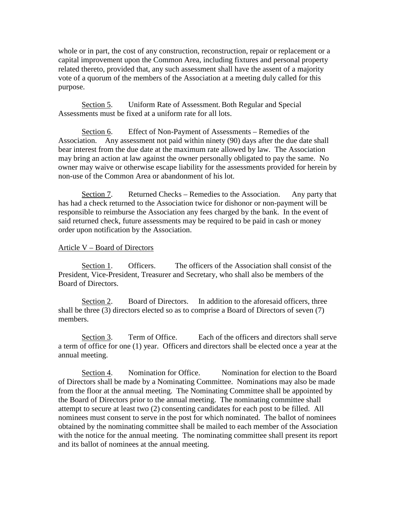whole or in part, the cost of any construction, reconstruction, repair or replacement or a capital improvement upon the Common Area, including fixtures and personal property related thereto, provided that, any such assessment shall have the assent of a majority vote of a quorum of the members of the Association at a meeting duly called for this purpose.

Section 5. Uniform Rate of Assessment. Both Regular and Special Assessments must be fixed at a uniform rate for all lots.

Section 6. Effect of Non-Payment of Assessments – Remedies of the Association. Any assessment not paid within ninety (90) days after the due date shall bear interest from the due date at the maximum rate allowed by law. The Association may bring an action at law against the owner personally obligated to pay the same. No owner may waive or otherwise escape liability for the assessments provided for herein by non-use of the Common Area or abandonment of his lot.

 Section 7. Returned Checks – Remedies to the Association. Any party that has had a check returned to the Association twice for dishonor or non-payment will be responsible to reimburse the Association any fees charged by the bank. In the event of said returned check, future assessments may be required to be paid in cash or money order upon notification by the Association.

# Article V – Board of Directors

Section 1. Officers. The officers of the Association shall consist of the President, Vice-President, Treasurer and Secretary, who shall also be members of the Board of Directors.

 Section 2. Board of Directors. In addition to the aforesaid officers, three shall be three (3) directors elected so as to comprise a Board of Directors of seven (7) members.

 Section 3. Term of Office. Each of the officers and directors shall serve a term of office for one (1) year. Officers and directors shall be elected once a year at the annual meeting.

 Section 4. Nomination for Office. Nomination for election to the Board of Directors shall be made by a Nominating Committee. Nominations may also be made from the floor at the annual meeting. The Nominating Committee shall be appointed by the Board of Directors prior to the annual meeting. The nominating committee shall attempt to secure at least two (2) consenting candidates for each post to be filled. All nominees must consent to serve in the post for which nominated. The ballot of nominees obtained by the nominating committee shall be mailed to each member of the Association with the notice for the annual meeting. The nominating committee shall present its report and its ballot of nominees at the annual meeting.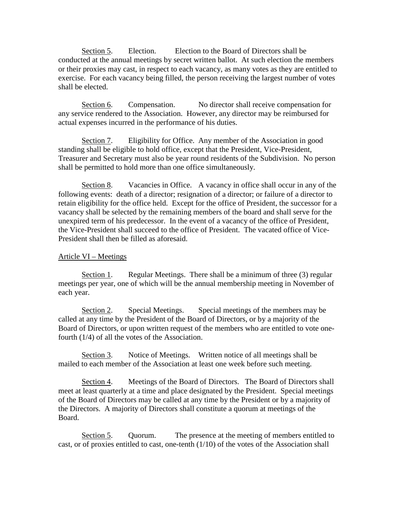Section 5. Election. Election to the Board of Directors shall be conducted at the annual meetings by secret written ballot. At such election the members or their proxies may cast, in respect to each vacancy, as many votes as they are entitled to exercise. For each vacancy being filled, the person receiving the largest number of votes shall be elected.

Section 6. Compensation. No director shall receive compensation for any service rendered to the Association. However, any director may be reimbursed for actual expenses incurred in the performance of his duties.

 Section 7. Eligibility for Office. Any member of the Association in good standing shall be eligible to hold office, except that the President, Vice-President, Treasurer and Secretary must also be year round residents of the Subdivision. No person shall be permitted to hold more than one office simultaneously.

Section 8. Vacancies in Office. A vacancy in office shall occur in any of the following events: death of a director; resignation of a director; or failure of a director to retain eligibility for the office held. Except for the office of President, the successor for a vacancy shall be selected by the remaining members of the board and shall serve for the unexpired term of his predecessor. In the event of a vacancy of the office of President, the Vice-President shall succeed to the office of President. The vacated office of Vice-President shall then be filled as aforesaid.

# Article VI – Meetings

Section 1. Regular Meetings. There shall be a minimum of three (3) regular meetings per year, one of which will be the annual membership meeting in November of each year.

 Section 2. Special Meetings. Special meetings of the members may be called at any time by the President of the Board of Directors, or by a majority of the Board of Directors, or upon written request of the members who are entitled to vote onefourth (1/4) of all the votes of the Association.

 Section 3. Notice of Meetings. Written notice of all meetings shall be mailed to each member of the Association at least one week before such meeting.

 Section 4. Meetings of the Board of Directors. The Board of Directors shall meet at least quarterly at a time and place designated by the President. Special meetings of the Board of Directors may be called at any time by the President or by a majority of the Directors. A majority of Directors shall constitute a quorum at meetings of the Board.

 Section 5. Quorum. The presence at the meeting of members entitled to cast, or of proxies entitled to cast, one-tenth  $(1/10)$  of the votes of the Association shall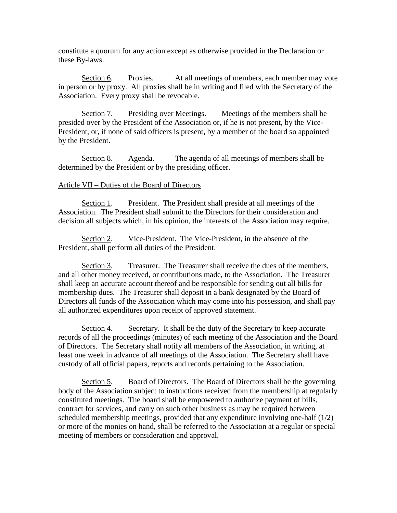constitute a quorum for any action except as otherwise provided in the Declaration or these By-laws.

Section 6. Proxies. At all meetings of members, each member may vote in person or by proxy. All proxies shall be in writing and filed with the Secretary of the Association. Every proxy shall be revocable.

Section 7. Presiding over Meetings. Meetings of the members shall be presided over by the President of the Association or, if he is not present, by the Vice-President, or, if none of said officers is present, by a member of the board so appointed by the President.

 Section 8. Agenda. The agenda of all meetings of members shall be determined by the President or by the presiding officer.

#### Article VII – Duties of the Board of Directors

Section 1. President. The President shall preside at all meetings of the Association. The President shall submit to the Directors for their consideration and decision all subjects which, in his opinion, the interests of the Association may require.

 Section 2. Vice-President. The Vice-President, in the absence of the President, shall perform all duties of the President.

 Section 3. Treasurer. The Treasurer shall receive the dues of the members, and all other money received, or contributions made, to the Association. The Treasurer shall keep an accurate account thereof and be responsible for sending out all bills for membership dues. The Treasurer shall deposit in a bank designated by the Board of Directors all funds of the Association which may come into his possession, and shall pay all authorized expenditures upon receipt of approved statement.

 Section 4. Secretary. It shall be the duty of the Secretary to keep accurate records of all the proceedings (minutes) of each meeting of the Association and the Board of Directors. The Secretary shall notify all members of the Association, in writing, at least one week in advance of all meetings of the Association. The Secretary shall have custody of all official papers, reports and records pertaining to the Association.

Section 5. Board of Directors. The Board of Directors shall be the governing body of the Association subject to instructions received from the membership at regularly constituted meetings. The board shall be empowered to authorize payment of bills, contract for services, and carry on such other business as may be required between scheduled membership meetings, provided that any expenditure involving one-half (1/2) or more of the monies on hand, shall be referred to the Association at a regular or special meeting of members or consideration and approval.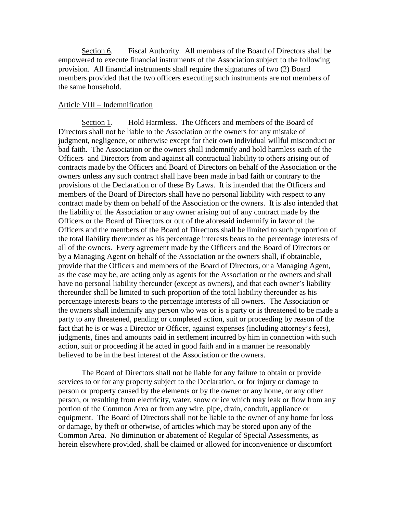Section 6. Fiscal Authority. All members of the Board of Directors shall be empowered to execute financial instruments of the Association subject to the following provision. All financial instruments shall require the signatures of two (2) Board members provided that the two officers executing such instruments are not members of the same household.

### Article VIII – Indemnification

Section 1. Hold Harmless. The Officers and members of the Board of Directors shall not be liable to the Association or the owners for any mistake of judgment, negligence, or otherwise except for their own individual willful misconduct or bad faith. The Association or the owners shall indemnify and hold harmless each of the Officers and Directors from and against all contractual liability to others arising out of contracts made by the Officers and Board of Directors on behalf of the Association or the owners unless any such contract shall have been made in bad faith or contrary to the provisions of the Declaration or of these By Laws. It is intended that the Officers and members of the Board of Directors shall have no personal liability with respect to any contract made by them on behalf of the Association or the owners. It is also intended that the liability of the Association or any owner arising out of any contract made by the Officers or the Board of Directors or out of the aforesaid indemnify in favor of the Officers and the members of the Board of Directors shall be limited to such proportion of the total liability thereunder as his percentage interests bears to the percentage interests of all of the owners. Every agreement made by the Officers and the Board of Directors or by a Managing Agent on behalf of the Association or the owners shall, if obtainable, provide that the Officers and members of the Board of Directors, or a Managing Agent, as the case may be, are acting only as agents for the Association or the owners and shall have no personal liability thereunder (except as owners), and that each owner's liability thereunder shall be limited to such proportion of the total liability thereunder as his percentage interests bears to the percentage interests of all owners. The Association or the owners shall indemnify any person who was or is a party or is threatened to be made a party to any threatened, pending or completed action, suit or proceeding by reason of the fact that he is or was a Director or Officer, against expenses (including attorney's fees), judgments, fines and amounts paid in settlement incurred by him in connection with such action, suit or proceeding if he acted in good faith and in a manner he reasonably believed to be in the best interest of the Association or the owners.

 The Board of Directors shall not be liable for any failure to obtain or provide services to or for any property subject to the Declaration, or for injury or damage to person or property caused by the elements or by the owner or any home, or any other person, or resulting from electricity, water, snow or ice which may leak or flow from any portion of the Common Area or from any wire, pipe, drain, conduit, appliance or equipment. The Board of Directors shall not be liable to the owner of any home for loss or damage, by theft or otherwise, of articles which may be stored upon any of the Common Area. No diminution or abatement of Regular of Special Assessments, as herein elsewhere provided, shall be claimed or allowed for inconvenience or discomfort